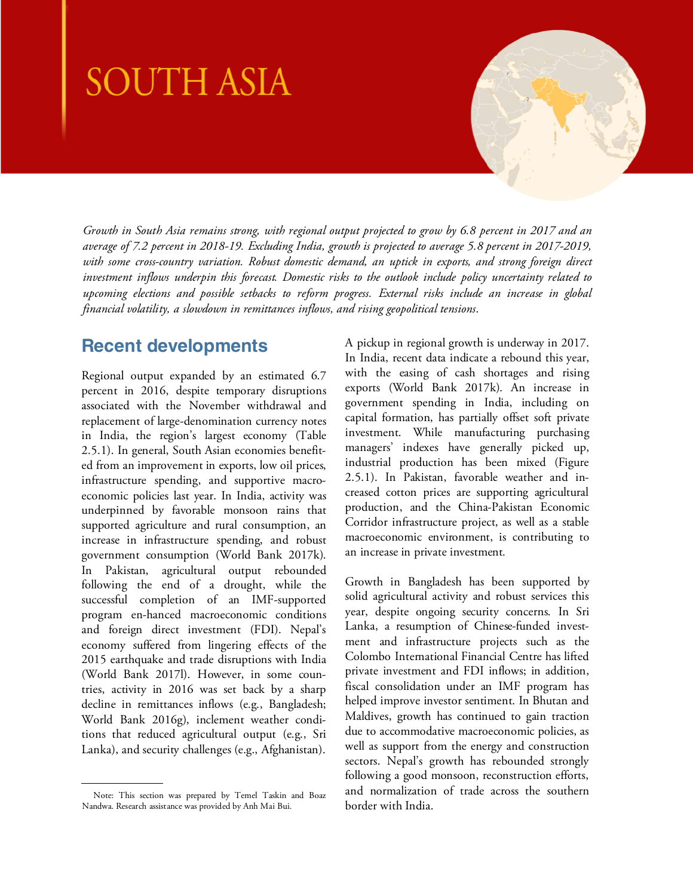# **SOUTH ASIA**



*Growth in South Asia remains strong, with regional output projected to grow by 6.8 percent in 2017 and an average of 7.2 percent in 2018-19. Excluding India, growth is projected to average 5.8 percent in 2017-2019, with some cross-country variation. Robust domestic demand, an uptick in exports, and strong foreign direct investment inflows underpin this forecast. Domestic risks to the outlook include policy uncertainty related to upcoming elections and possible setbacks to reform progress. External risks include an increase in global financial volatility, a slowdown in remittances inflows, and rising geopolitical tensions*.

# **Recent developments**

Regional output expanded by an estimated 6.7 percent in 2016, despite temporary disruptions associated with the November withdrawal and replacement of large-denomination currency notes in India, the region's largest economy (Table 2.5.1). In general, South Asian economies benefited from an improvement in exports, low oil prices, infrastructure spending, and supportive macroeconomic policies last year. In India, activity was underpinned by favorable monsoon rains that supported agriculture and rural consumption, an increase in infrastructure spending, and robust government consumption (World Bank 2017k). In Pakistan, agricultural output rebounded following the end of a drought, while the successful completion of an IMF-supported program en-hanced macroeconomic conditions and foreign direct investment (FDI). Nepal's economy suffered from lingering effects of the 2015 earthquake and trade disruptions with India (World Bank 2017l). However, in some countries, activity in 2016 was set back by a sharp decline in remittances inflows (e.g., Bangladesh; World Bank 2016g), inclement weather conditions that reduced agricultural output (e.g., Sri Lanka), and security challenges (e.g., Afghanistan).

A pickup in regional growth is underway in 2017. In India, recent data indicate a rebound this year, with the easing of cash shortages and rising exports (World Bank 2017k). An increase in government spending in India, including on capital formation, has partially offset soft private investment. While manufacturing purchasing managers' indexes have generally picked up, industrial production has been mixed (Figure 2.5.1). In Pakistan, favorable weather and increased cotton prices are supporting agricultural production, and the China-Pakistan Economic Corridor infrastructure project, as well as a stable macroeconomic environment, is contributing to an increase in private investment.

Growth in Bangladesh has been supported by solid agricultural activity and robust services this year, despite ongoing security concerns. In Sri Lanka, a resumption of Chinese-funded investment and infrastructure projects such as the Colombo International Financial Centre has lifted private investment and FDI inflows; in addition, fiscal consolidation under an IMF program has helped improve investor sentiment. In Bhutan and Maldives, growth has continued to gain traction due to accommodative macroeconomic policies, as well as support from the energy and construction sectors. Nepal's growth has rebounded strongly following a good monsoon, reconstruction efforts, and normalization of trade across the southern border with India.

Note: This section was prepared by Temel Taskin and Boaz Nandwa. Research assistance was provided by Anh Mai Bui.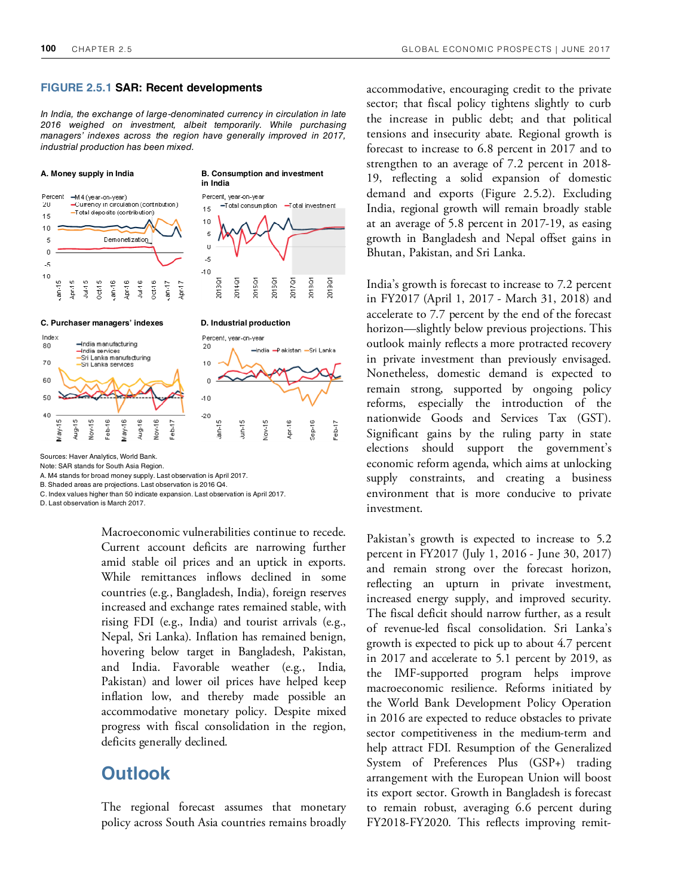#### **FIGURE 2.5.1 SAR: Recent developments**

In India, the exchange of large-denominated currency in circulation in late 2016 weighed on investment, albeit temporarily. While purchasing managers' indexes across the region have generally improved in 2017, industrial production has been mixed.



Sources: Haver Analytics, World Bank.

Note: SAR stands for South Asia Region.

A. M4 stands for broad money supply. Last observation is April 2017.

B. Shaded areas are projections. Last observation is 2016 Q4.

C. Index values higher than 50 indicate expansion. Last observation is April 2017.

D. Last observation is March 2017.

Macroeconomic vulnerabilities continue to recede. Current account deficits are narrowing further amid stable oil prices and an uptick in exports. While remittances inflows declined in some countries (e.g., Bangladesh, India), foreign reserves increased and exchange rates remained stable, with rising FDI (e.g., India) and tourist arrivals (e.g., Nepal, Sri Lanka). Inflation has remained benign, hovering below target in Bangladesh, Pakistan, and India. Favorable weather (e.g., India, Pakistan) and lower oil prices have helped keep inflation low, and thereby made possible an accommodative monetary policy. Despite mixed progress with fiscal consolidation in the region, deficits generally declined.

# **Outlook**

The regional forecast assumes that monetary policy across South Asia countries remains broadly accommodative, encouraging credit to the private sector; that fiscal policy tightens slightly to curb the increase in public debt; and that political tensions and insecurity abate. Regional growth is forecast to increase to 6.8 percent in 2017 and to strengthen to an average of 7.2 percent in 2018- 19, reflecting a solid expansion of domestic demand and exports (Figure 2.5.2). Excluding India, regional growth will remain broadly stable at an average of 5.8 percent in 2017-19, as easing growth in Bangladesh and Nepal offset gains in Bhutan, Pakistan, and Sri Lanka.

India's growth is forecast to increase to 7.2 percent in FY2017 (April 1, 2017 - March 31, 2018) and accelerate to 7.7 percent by the end of the forecast horizon—slightly below previous projections. This outlook mainly reflects a more protracted recovery in private investment than previously envisaged. Nonetheless, domestic demand is expected to remain strong, supported by ongoing policy reforms, especially the introduction of the nationwide Goods and Services Tax (GST). Significant gains by the ruling party in state elections should support the government's economic reform agenda, which aims at unlocking supply constraints, and creating a business environment that is more conducive to private investment.

Pakistan's growth is expected to increase to 5.2 percent in FY2017 (July 1, 2016 - June 30, 2017) and remain strong over the forecast horizon, reflecting an upturn in private investment, increased energy supply, and improved security. The fiscal deficit should narrow further, as a result of revenue-led fiscal consolidation. Sri Lanka's growth is expected to pick up to about 4.7 percent in 2017 and accelerate to 5.1 percent by 2019, as the IMF-supported program helps improve macroeconomic resilience. Reforms initiated by the World Bank Development Policy Operation in 2016 are expected to reduce obstacles to private sector competitiveness in the medium-term and help attract FDI. Resumption of the Generalized System of Preferences Plus (GSP+) trading arrangement with the European Union will boost its export sector. Growth in Bangladesh is forecast to remain robust, averaging 6.6 percent during FY2018-FY2020. This reflects improving remit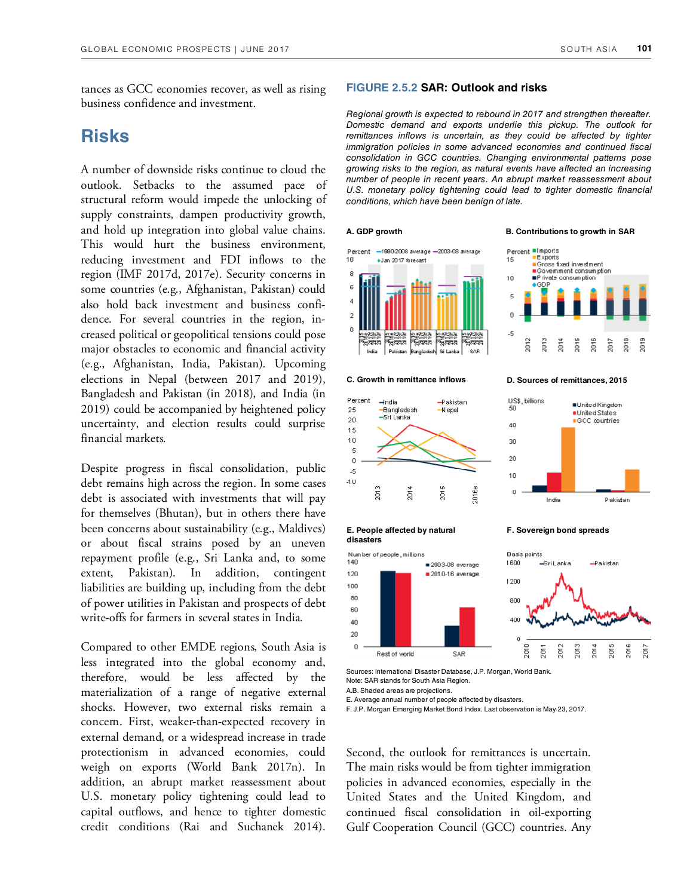tances as GCC economies recover, as well as rising business confidence and investment.

# **Risks**

A number of downside risks continue to cloud the outlook. Setbacks to the assumed pace of structural reform would impede the unlocking of supply constraints, dampen productivity growth, and hold up integration into global value chains. This would hurt the business environment, reducing investment and FDI inflows to the region (IMF 2017d, 2017e). Security concerns in some countries (e.g., Afghanistan, Pakistan) could also hold back investment and business confidence. For several countries in the region, increased political or geopolitical tensions could pose major obstacles to economic and financial activity (e.g., Afghanistan, India, Pakistan). Upcoming elections in Nepal (between 2017 and 2019), Bangladesh and Pakistan (in 2018), and India (in 2019) could be accompanied by heightened policy uncertainty, and election results could surprise financial markets.

Despite progress in fiscal consolidation, public debt remains high across the region. In some cases debt is associated with investments that will pay for themselves (Bhutan), but in others there have been concerns about sustainability (e.g., Maldives) or about fiscal strains posed by an uneven repayment profile (e.g., Sri Lanka and, to some extent, Pakistan). In addition, contingent liabilities are building up, including from the debt of power utilities in Pakistan and prospects of debt write-offs for farmers in several states in India.

Compared to other EMDE regions, South Asia is less integrated into the global economy and, therefore, would be less affected by the materialization of a range of negative external shocks. However, two external risks remain a concern. First, weaker-than-expected recovery in external demand, or a widespread increase in trade protectionism in advanced economies, could weigh on exports (World Bank 2017n). In addition, an abrupt market reassessment about U.S. monetary policy tightening could lead to capital outflows, and hence to tighter domestic credit conditions (Rai and Suchanek 2014).

### **FIGURE 2.5.2 SAR: Outlook and risks**

Regional growth is expected to rebound in 2017 and strengthen thereafter. Domestic demand and exports underlie this pickup. The outlook for remittances inflows is uncertain, as they could be affected by tighter immigration policies in some advanced economies and continued fiscal consolidation in GCC countries. Changing environmental patterns pose growing risks to the region, as natural events have affected an increasing number of people in recent years. An abrupt market reassessment about U.S. monetary policy tightening could lead to tighter domestic financial conditions, which have been benign of late.

#### **A. GDP growth B. Contributions to growth in SAR**







**C. Growth in remittance inflows D. Sources of remittances, 2015** 



**E. People affected by natural F. Sovereign bond spreads disasters** 







Sources: International Disaster Database, J.P. Morgan, World Bank. Note: SAR stands for South Asia Region.

A.B. Shaded areas are projections.

E. Average annual number of people affected by disasters.

F. J.P. Morgan Emerging Market Bond Index. Last observation is May 23, 2017.

Second, the outlook for remittances is uncertain. The main risks would be from tighter immigration policies in advanced economies, especially in the United States and the United Kingdom, and continued fiscal consolidation in oil-exporting Gulf Cooperation Council (GCC) countries. Any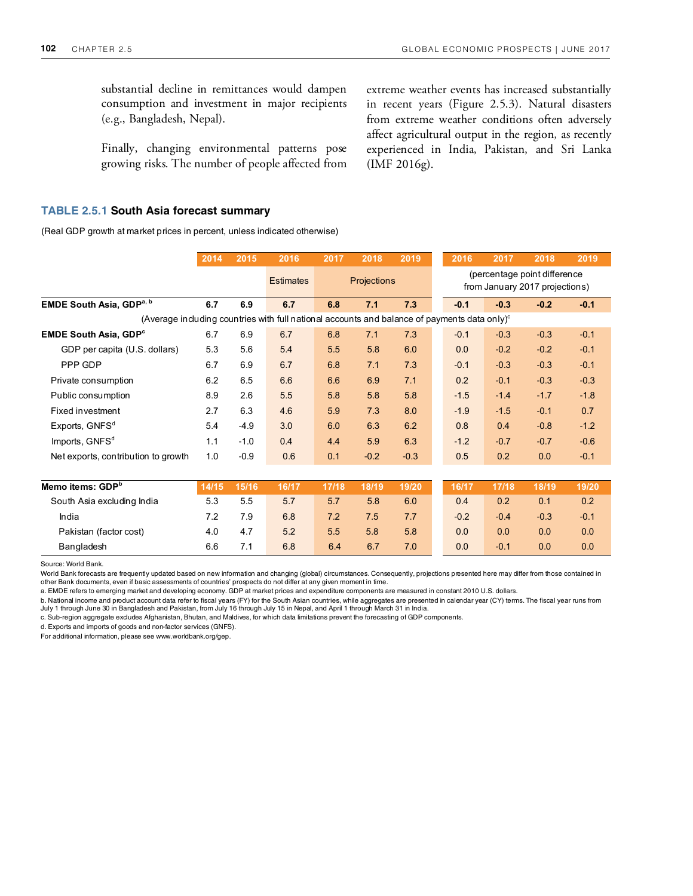substantial decline in remittances would dampen consumption and investment in major recipients (e.g., Bangladesh, Nepal).

Finally, changing environmental patterns pose growing risks. The number of people affected from extreme weather events has increased substantially in recent years (Figure 2.5.3). Natural disasters from extreme weather conditions often adversely affect agricultural output in the region, as recently experienced in India, Pakistan, and Sri Lanka (IMF 2016g).

#### **TABLE 2.5.1 South Asia forecast summary**

(Real GDP growth at market prices in percent, unless indicated otherwise)

|                                                                                                          | 2014  | 2015   | 2016             | 2017               | 2018   | 2019                                                           | 2016   | 2017   | 2018   | 2019   |  |  |
|----------------------------------------------------------------------------------------------------------|-------|--------|------------------|--------------------|--------|----------------------------------------------------------------|--------|--------|--------|--------|--|--|
|                                                                                                          |       |        | <b>Estimates</b> | <b>Projections</b> |        | (percentage point difference<br>from January 2017 projections) |        |        |        |        |  |  |
|                                                                                                          |       |        |                  |                    |        |                                                                |        |        |        |        |  |  |
| EMDE South Asia, GDPa, b                                                                                 | 6.7   | 6.9    | 6.7              | 6.8                | 7.1    | 7.3                                                            | $-0.1$ | $-0.3$ | $-0.2$ | $-0.1$ |  |  |
| (Average including countries with full national accounts and balance of payments data only) <sup>c</sup> |       |        |                  |                    |        |                                                                |        |        |        |        |  |  |
| <b>EMDE South Asia, GDP°</b>                                                                             | 6.7   | 6.9    | 6.7              | 6.8                | 7.1    | 7.3                                                            | $-0.1$ | $-0.3$ | $-0.3$ | $-0.1$ |  |  |
| GDP per capita (U.S. dollars)                                                                            | 5.3   | 5.6    | 5.4              | 5.5                | 5.8    | 6.0                                                            | 0.0    | $-0.2$ | $-0.2$ | $-0.1$ |  |  |
| PPP GDP                                                                                                  | 6.7   | 6.9    | 6.7              | 6.8                | 7.1    | 7.3                                                            | $-0.1$ | $-0.3$ | $-0.3$ | $-0.1$ |  |  |
| Private consumption                                                                                      | 6.2   | 6.5    | 6.6              | 6.6                | 6.9    | 7.1                                                            | 0.2    | $-0.1$ | $-0.3$ | $-0.3$ |  |  |
| Public consumption                                                                                       | 8.9   | 2.6    | 5.5              | 5.8                | 5.8    | 5.8                                                            | $-1.5$ | $-1.4$ | $-1.7$ | $-1.8$ |  |  |
| Fixed investment                                                                                         | 2.7   | 6.3    | 4.6              | 5.9                | 7.3    | 8.0                                                            | $-1.9$ | $-1.5$ | $-0.1$ | 0.7    |  |  |
| Exports, GNFS <sup>d</sup>                                                                               | 5.4   | $-4.9$ | 3.0              | 6.0                | 6.3    | 6.2                                                            | 0.8    | 0.4    | $-0.8$ | $-1.2$ |  |  |
| Imports, GNFS <sup>d</sup>                                                                               | 1.1   | $-1.0$ | 0.4              | 4.4                | 5.9    | 6.3                                                            | $-1.2$ | $-0.7$ | $-0.7$ | $-0.6$ |  |  |
| Net exports, contribution to growth                                                                      | 1.0   | $-0.9$ | 0.6              | 0.1                | $-0.2$ | $-0.3$                                                         | 0.5    | 0.2    | 0.0    | $-0.1$ |  |  |
|                                                                                                          |       |        |                  |                    |        |                                                                |        |        |        |        |  |  |
| Memo items: GDP <sup>b</sup>                                                                             | 14/15 | 15/16  | 16/17            | 17/18              | 18/19  | 19/20                                                          | 16/17  | 17/18  | 18/19  | 19/20  |  |  |
| South Asia excluding India                                                                               | 5.3   | 5.5    | 5.7              | 5.7                | 5.8    | 6.0                                                            | 0.4    | 0.2    | 0.1    | 0.2    |  |  |
| India                                                                                                    | 7.2   | 7.9    | 6.8              | 7.2                | 7.5    | 7.7                                                            | $-0.2$ | $-0.4$ | $-0.3$ | $-0.1$ |  |  |
| Pakistan (factor cost)                                                                                   | 4.0   | 4.7    | 5.2              | 5.5                | 5.8    | 5.8                                                            | 0.0    | 0.0    | 0.0    | 0.0    |  |  |
| Bangladesh                                                                                               | 6.6   | 7.1    | 6.8              | 6.4                | 6.7    | 7.0                                                            | 0.0    | $-0.1$ | 0.0    | 0.0    |  |  |
| Source: World Bank                                                                                       |       |        |                  |                    |        |                                                                |        |        |        |        |  |  |

Source: World Bank.

World Bank forecasts are frequently updated based on new information and changing (global) circumstances. Consequently, projections presented here may differ from those contained in other Bank documents, even if basic assessments of countries' prospects do not differ at any given moment in time.

a. EMDE refers to emerging market and developing economy. GDP at market prices and expenditure components are measured in constant 2010 U.S. dollars.

b. National income and product account data refer to fiscal years (FY) for the South Asian countries, while aggregates are presented in calendar year (CY) terms. The fiscal year runs from July 1 through June 30 in Bangladesh and Pakistan, from July 16 through July 15 in Nepal, and April 1 through March 31 in India.

c. Sub-region aggregate excludes Afghanistan, Bhutan, and Maldives, for which data limitations prevent the forecasting of GDP components.

d. Exports and imports of goods and non-factor services (GNFS).

For additional information, please see www.worldbank.org/gep.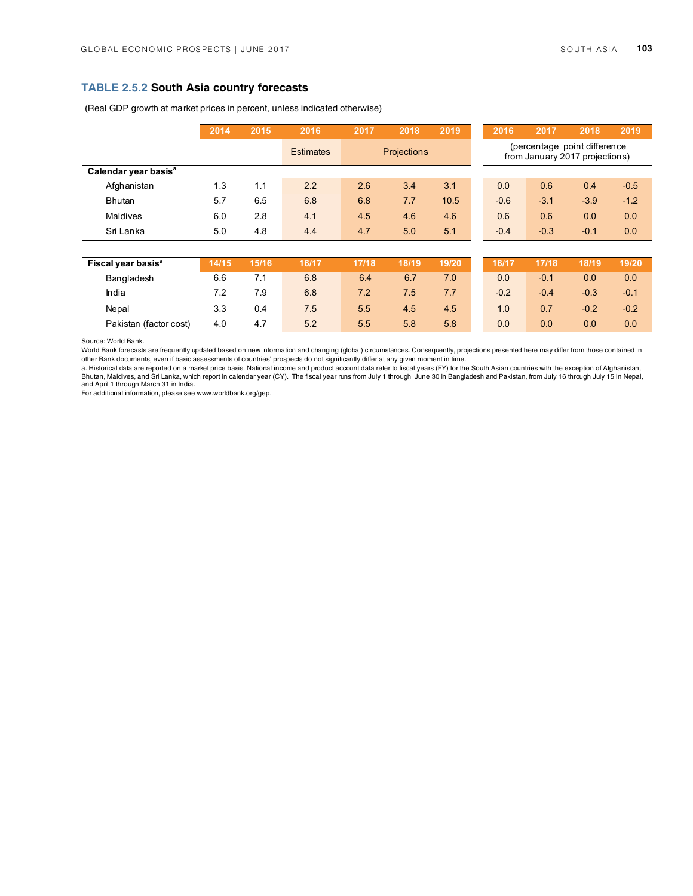## **TABLE 2.5.2 South Asia country forecasts**

(Real GDP growth at market prices in percent, unless indicated otherwise)

|                                  | 2014  | 2015  | 2016             | 2017               | 2018  | 2019                                                           | 2016   | 2017   | 2018   | 2019   |
|----------------------------------|-------|-------|------------------|--------------------|-------|----------------------------------------------------------------|--------|--------|--------|--------|
|                                  |       |       | <b>Estimates</b> | <b>Projections</b> |       | (percentage point difference<br>from January 2017 projections) |        |        |        |        |
| Calendar year basis <sup>a</sup> |       |       |                  |                    |       |                                                                |        |        |        |        |
| Afghanistan                      | 1.3   | 1.1   | 2.2              | 2.6                | 3.4   | 3.1                                                            | 0.0    | 0.6    | 0.4    | $-0.5$ |
| <b>Bhutan</b>                    | 5.7   | 6.5   | 6.8              | 6.8                | 7.7   | 10.5                                                           | $-0.6$ | $-3.1$ | $-3.9$ | $-1.2$ |
| Maldives                         | 6.0   | 2.8   | 4.1              | 4.5                | 4.6   | 4.6                                                            | 0.6    | 0.6    | 0.0    | 0.0    |
| Sri Lanka                        | 5.0   | 4.8   | 4.4              | 4.7                | 5.0   | 5.1                                                            | $-0.4$ | $-0.3$ | $-0.1$ | 0.0    |
|                                  |       |       |                  |                    |       |                                                                |        |        |        |        |
| Fiscal year basis <sup>a</sup>   | 14/15 | 15/16 | 16/17            | 17/18              | 18/19 | 19/20                                                          | 16/17  | 17/18  | 18/19  | 19/20  |
| Bangladesh                       | 6.6   | 7.1   | 6.8              | 6.4                | 6.7   | 7.0                                                            | 0.0    | $-0.1$ | 0.0    | 0.0    |
| India                            | 7.2   | 7.9   | 6.8              | 7.2                | 7.5   | 7.7                                                            | $-0.2$ | $-0.4$ | $-0.3$ | $-0.1$ |
| Nepal                            | 3.3   | 0.4   | 7.5              | 5.5                | 4.5   | 4.5                                                            | 1.0    | 0.7    | $-0.2$ | $-0.2$ |
| Pakistan (factor cost)           | 4.0   | 4.7   | 5.2              | 5.5                | 5.8   | 5.8                                                            | 0.0    | 0.0    | 0.0    | 0.0    |

Source: World Bank.

World Bank forecasts are frequently updated based on new information and changing (global) circumstances. Consequently, projections presented here may differ from those contained in<br>other Bank documents, even if basic asse

a. Historical data are reported on a market price basis. National income and product account data refer to fiscal years (FY) for the South Asian countries with the exception of Afghanistan,<br>Bhutan, Maldives, and Sri Lanka, and April 1 through March 31 in India.

For additional information, please see www.worldbank.org/gep.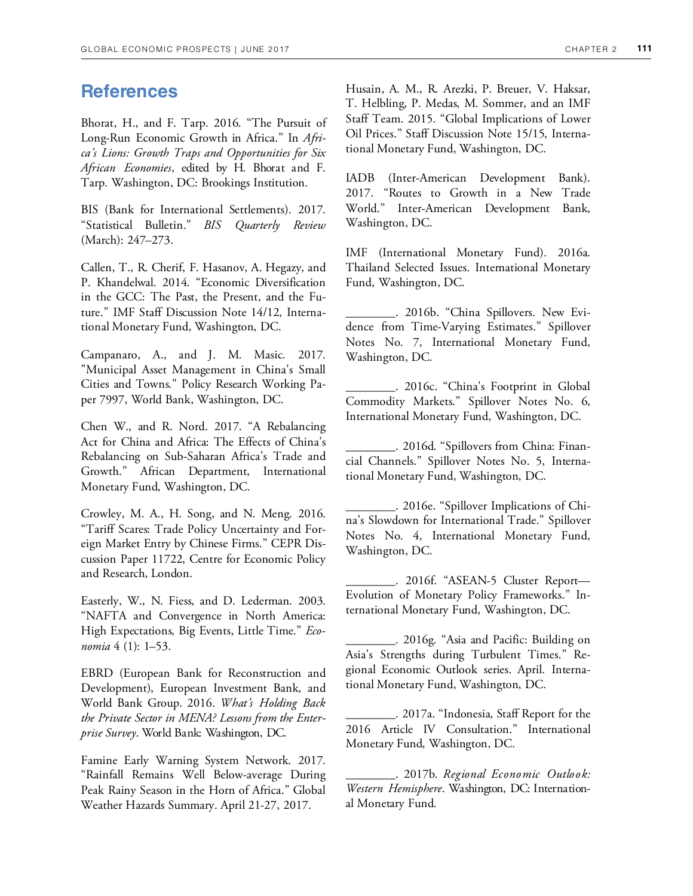# **References**

Bhorat, H., and F. Tarp. 2016. "The Pursuit of Long-Run Economic Growth in Africa." In *Africa's Lions: Growth Traps and Opportunities for Six African Economies*, edited by H. Bhorat and F. Tarp. Washington, DC: Brookings Institution.

BIS (Bank for International Settlements). 2017. "Statistical Bulletin." *BIS Quarterly Review* (March): 247–273.

Callen, T., R. Cherif, F. Hasanov, A. Hegazy, and P. Khandelwal. 2014. "Economic Diversification in the GCC: The Past, the Present, and the Future." IMF Staff Discussion Note 14/12, International Monetary Fund, Washington, DC.

Campanaro, A., and J. M. Masic. 2017. "Municipal Asset Management in China's Small Cities and Towns." Policy Research Working Paper 7997, World Bank, Washington, DC.

Chen W., and R. Nord. 2017. "A Rebalancing Act for China and Africa: The Effects of China's Rebalancing on Sub-Saharan Africa's Trade and Growth." African Department, International Monetary Fund, Washington, DC.

Crowley, M. A., H. Song, and N. Meng. 2016. "Tariff Scares: Trade Policy Uncertainty and Foreign Market Entry by Chinese Firms." CEPR Discussion Paper 11722, Centre for Economic Policy and Research, London.

Easterly, W., N. Fiess, and D. Lederman. 2003. "NAFTA and Convergence in North America: High Expectations, Big Events, Little Time." *Economia* 4 (1): 1–53.

EBRD (European Bank for Reconstruction and Development), European Investment Bank, and World Bank Group. 2016. *What's Holding Back the Private Sector in MENA? Lessons from the Enterprise Survey*. World Bank: Washington, DC.

Famine Early Warning System Network. 2017. "Rainfall Remains Well Below-average During Peak Rainy Season in the Horn of Africa." Global Weather Hazards Summary. April 21-27, 2017.

Husain, A. M., R. Arezki, P. Breuer, V. Haksar, T. Helbling, P. Medas, M. Sommer, and an IMF Staff Team. 2015. "Global Implications of Lower Oil Prices." Staff Discussion Note 15/15, International Monetary Fund, Washington, DC.

IADB (Inter-American Development Bank). 2017. "Routes to Growth in a New Trade World." Inter-American Development Bank, Washington, DC.

IMF (International Monetary Fund). 2016a. Thailand Selected Issues. International Monetary Fund, Washington, DC.

\_\_\_\_\_\_\_\_. 2016b. "China Spillovers. New Evidence from Time-Varying Estimates." Spillover Notes No. 7, International Monetary Fund, Washington, DC.

\_\_\_\_\_\_\_\_. 2016c. "China's Footprint in Global Commodity Markets." Spillover Notes No. 6, International Monetary Fund, Washington, DC.

\_\_\_\_\_\_\_\_. 2016d. "Spillovers from China: Financial Channels." Spillover Notes No. 5, International Monetary Fund, Washington, DC.

\_\_\_\_\_\_\_\_. 2016e. "Spillover Implications of China's Slowdown for International Trade." Spillover Notes No. 4, International Monetary Fund, Washington, DC.

\_\_\_\_\_\_\_\_. 2016f. "ASEAN-5 Cluster Report— Evolution of Monetary Policy Frameworks." International Monetary Fund, Washington, DC.

\_\_\_\_\_\_\_\_. 2016g. "Asia and Pacific: Building on Asia's Strengths during Turbulent Times." Regional Economic Outlook series. April. International Monetary Fund, Washington, DC.

\_\_\_\_\_\_\_\_. 2017a. "Indonesia, Staff Report for the 2016 Article IV Consultation." International Monetary Fund, Washington, DC.

\_\_\_\_\_\_\_\_. 2017b. *Regional Economic Outlook: Western Hemisphere*. Washington, DC: International Monetary Fund.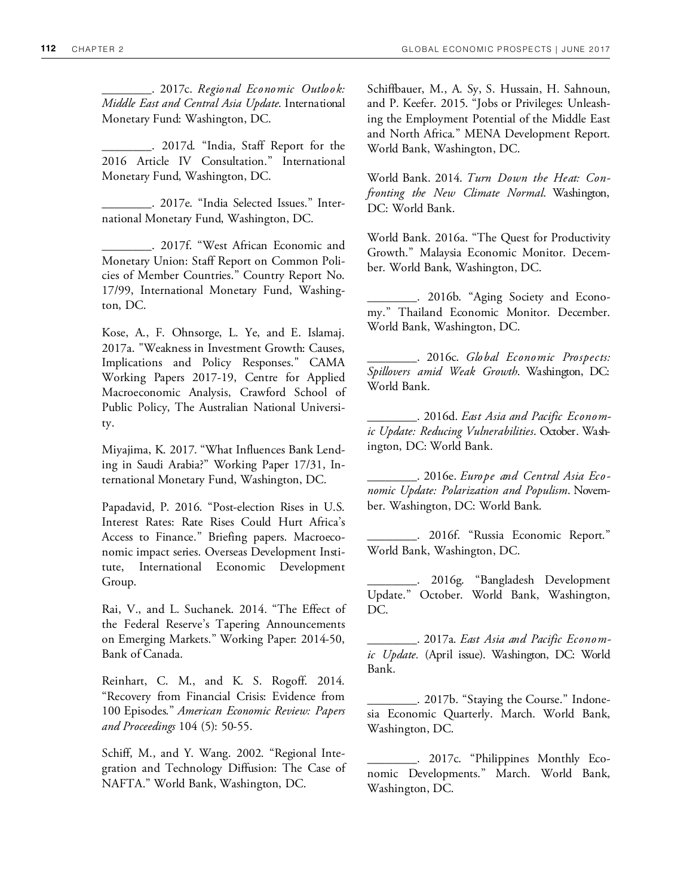\_\_\_\_\_\_\_\_. 2017c. *Regional Economic Outlook: Middle East and Central Asia Update*. International Monetary Fund: Washington, DC.

\_\_\_\_\_\_\_\_. 2017d. "India, Staff Report for the 2016 Article IV Consultation." International Monetary Fund, Washington, DC.

\_\_\_\_\_\_\_\_. 2017e. "India Selected Issues." International Monetary Fund, Washington, DC.

\_\_\_\_\_\_\_\_. 2017f. "West African Economic and Monetary Union: Staff Report on Common Policies of Member Countries." Country Report No. 17/99, International Monetary Fund, Washington, DC.

Kose, A., F. Ohnsorge, L. Ye, and E. Islamaj. 2017a. "Weakness in Investment Growth: Causes, Implications and Policy Responses." CAMA Working Papers 2017-19, Centre for Applied Macroeconomic Analysis, Crawford School of Public Policy, The Australian National University.

Miyajima, K. 2017. "What Influences Bank Lending in Saudi Arabia?" Working Paper 17/31, International Monetary Fund, Washington, DC.

Papadavid, P. 2016. "Post-election Rises in U.S. Interest Rates: Rate Rises Could Hurt Africa's Access to Finance." Briefing papers. Macroeconomic impact series. Overseas Development Institute, International Economic Development Group.

Rai, V., and L. Suchanek. 2014. "The Effect of the Federal Reserve's Tapering Announcements on Emerging Markets." Working Paper: 2014-50, Bank of Canada.

Reinhart, C. M., and K. S. Rogoff. 2014. "Recovery from Financial Crisis: Evidence from 100 Episodes." *American Economic Review: Papers and Proceedings* 104 (5): 50-55.

Schiff, M., and Y. Wang. 2002. "Regional Integration and Technology Diffusion: The Case of NAFTA." World Bank, Washington, DC.

Schiffbauer, M., A. Sy, S. Hussain, H. Sahnoun, and P. Keefer. 2015. "Jobs or Privileges: Unleashing the Employment Potential of the Middle East and North Africa." MENA Development Report. World Bank, Washington, DC.

World Bank. 2014. *Turn Down the Heat: Confronting the New Climate Normal*. Washington, DC: World Bank.

World Bank. 2016a. "The Quest for Productivity Growth." Malaysia Economic Monitor. December. World Bank, Washington, DC.

\_\_\_\_\_\_\_\_. 2016b. "Aging Society and Economy." Thailand Economic Monitor. December. World Bank, Washington, DC.

\_\_\_\_\_\_\_\_. 2016c. *Global Economic Prospects: Spillovers amid Weak Growth*. Washington, DC: World Bank.

\_\_\_\_\_\_\_\_. 2016d. *East Asia and Pacific Economic Update: Reducing Vulnerabilities*. October. Washington, DC: World Bank.

\_\_\_\_\_\_\_\_. 2016e. *Europe and Central Asia Economic Update: Polarization and Populism*. November. Washington, DC: World Bank.

\_\_\_\_\_\_\_\_. 2016f. "Russia Economic Report." World Bank, Washington, DC.

\_\_\_\_\_\_\_\_. 2016g. "Bangladesh Development Update." October. World Bank, Washington, DC.

\_\_\_\_\_\_\_\_. 2017a. *East Asia and Pacific Economic Update.* (April issue). Washington, DC: World Bank.

\_\_\_\_\_\_\_\_. 2017b. "Staying the Course." Indonesia Economic Quarterly. March. World Bank, Washington, DC.

\_\_\_\_\_\_\_\_. 2017c. "Philippines Monthly Economic Developments." March. World Bank, Washington, DC.